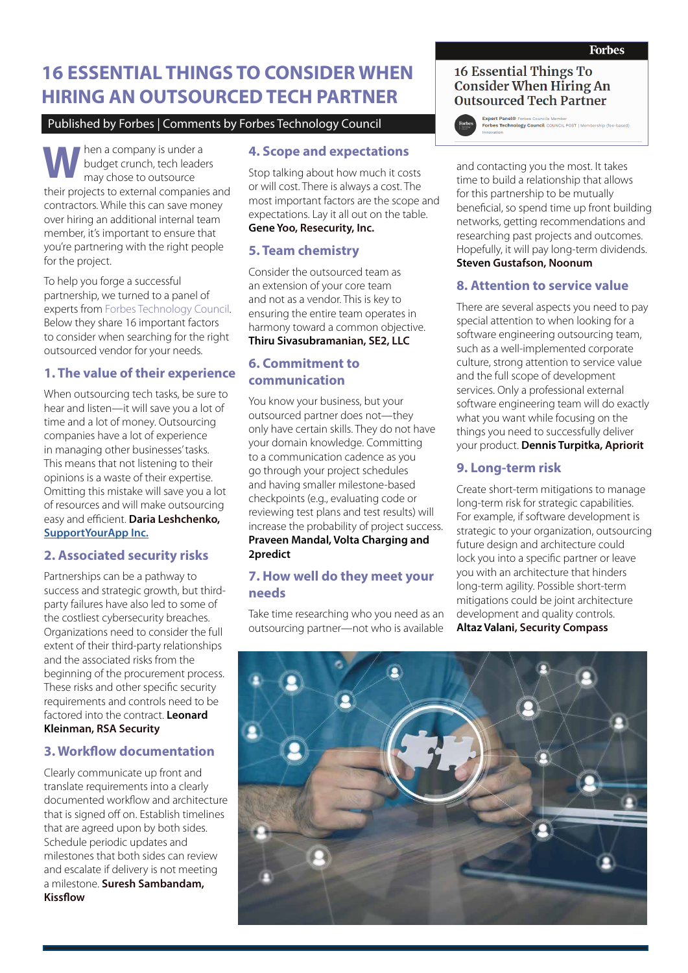# **16 ESSENTIAL THINGS TO CONSIDER WHEN HIRING AN OUTSOURCED TECH PARTNER**

#### Published by Forbes | Comments by Forbes Technology Council

hen a company is under a budget crunch, tech leaders may chose to outsource **W** their projects to external companies and contractors. While this can save money over hiring an additional internal team member, it's important to ensure that you're partnering with the right people for the project.

To help you forge a successful partnership, we turned to a panel of experts from [Forbes Technology Council.](https://councils.forbes.com/forbestechcouncil) Below they share 16 important factors to consider when searching for the right outsourced vendor for your needs.

## **1. The value of their experience**

When outsourcing tech tasks, be sure to hear and listen—it will save you a lot of time and a lot of money. Outsourcing companies have a lot of experience in managing other businesses' tasks. This means that not listening to their opinions is a waste of their expertise. Omitting this mistake will save you a lot of resources and will make outsourcing easy and efficient. **Daria Leshchenko, [SupportYourApp Inc.](http://www.supportyourapp.com/)**

#### **2. Associated security risks**

Partnerships can be a pathway to success and strategic growth, but thirdparty failures have also led to some of the costliest cybersecurity breaches. Organizations need to consider the full extent of their third-party relationships and the associated risks from the beginning of the procurement process. These risks and other specific security requirements and controls need to be factored into the contract. **Leonard Kleinman, [RSA Security](https://www.rsa.com/)**

#### **3. Workflow documentation**

Clearly communicate up front and translate requirements into a clearly documented workflow and architecture that is signed off on. Establish timelines that are agreed upon by both sides. Schedule periodic updates and milestones that both sides can review and escalate if delivery is not meeting a milestone. **Suresh Sambandam, [Kissflow](https://kissflow.com/)**

# **4. Scope and expectations**

Stop talking about how much it costs or will cost. There is always a cost. The most important factors are the scope and expectations. Lay it all out on the table. **Gene Yoo, [Resecurity, Inc.](http://www.resecurity.com/)**

# **5. Team chemistry**

Consider the outsourced team as an extension of your core team and not as a vendor. This is key to ensuring the entire team operates in harmony toward a common objective. **Thiru Sivasubramanian, [SE2, LLC](http://www.se2.com/)**

# **6. Commitment to communication**

You know your business, but your outsourced partner does not—they only have certain skills. They do not have your domain knowledge. Committing to a communication cadence as you go through your project schedules and having smaller milestone-based checkpoints (e.g., evaluating code or reviewing test plans and test results) will increase the probability of project success. **Praveen Mandal, [Volta Charging and](https://voltacharging.com/)  [2predict](https://voltacharging.com/)**

## **7. How well do they meet your needs**

Take time researching who you need as an outsourcing partner—not who is available

#### 16 Essential Things To **Consider When Hiring An Outsourced Tech Partner**



and contacting you the most. It takes time to build a relationship that allows for this partnership to be mutually beneficial, so spend time up front building networks, getting recommendations and researching past projects and outcomes. Hopefully, it will pay long-term dividends. **Steven Gustafson, [Noonum](http://noonum.ai/)**

#### **8. Attention to service value**

There are several aspects you need to pay special attention to when looking for a software engineering outsourcing team, such as a well-implemented corporate culture, strong attention to service value and the full scope of development services. Only a professional external software engineering team will do exactly what you want while focusing on the things you need to successfully deliver your product. **Dennis Turpitka, [Apriorit](https://www.apriorit.com/)**

#### **9. Long-term risk**

Create short-term mitigations to manage long-term risk for strategic capabilities. For example, if software development is strategic to your organization, outsourcing future design and architecture could lock you into a specific partner or leave you with an architecture that hinders long-term agility. Possible short-term mitigations could be joint architecture development and quality controls. **Altaz Valani, [Security Compass](https://www.securitycompass.com/)**